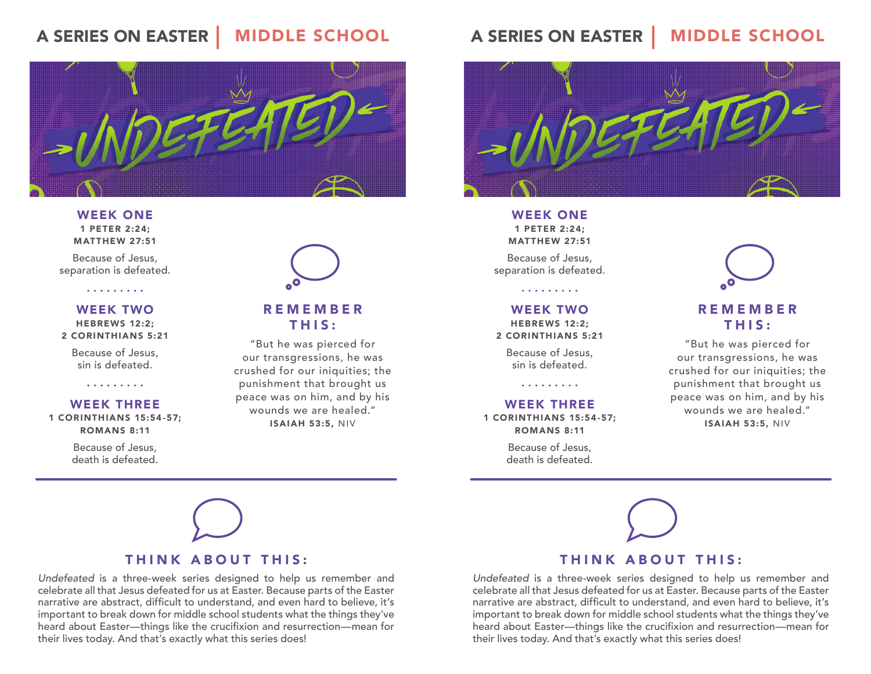#### **MIDDLE SCHOOL A SERIES ON EASTER**



WEEK ONE 1 PETER 2:24; MATTHEW 27:51

Because of Jesus, separation is defeated.

. . . . . . . . .

WEEK TWO HEBREWS 12:2; 2 CORINTHIANS 5:21

Because of Jesus, sin is defeated.

. . . . . . . . .

### WEEK THREE

1 CORINTHIANS 15:54-57; ROMANS 8:11

> Because of Jesus, death is defeated.



### REMEMBER THIS:

"But he was pierced for our transgressions, he was crushed for our iniquities; the punishment that brought us peace was on him, and by his wounds we are healed." ISAIAH 53:5, NIV



## THINK ABOUT THIS:

Undefeated is a three-week series designed to help us remember and celebrate all that Jesus defeated for us at Easter. Because parts of the Easter narrative are abstract, difficult to understand, and even hard to believe, it's important to break down for middle school students what the things they've heard about Easter—things like the crucifxion and resurrection—mean for their lives today. And that's exactly what this series does!